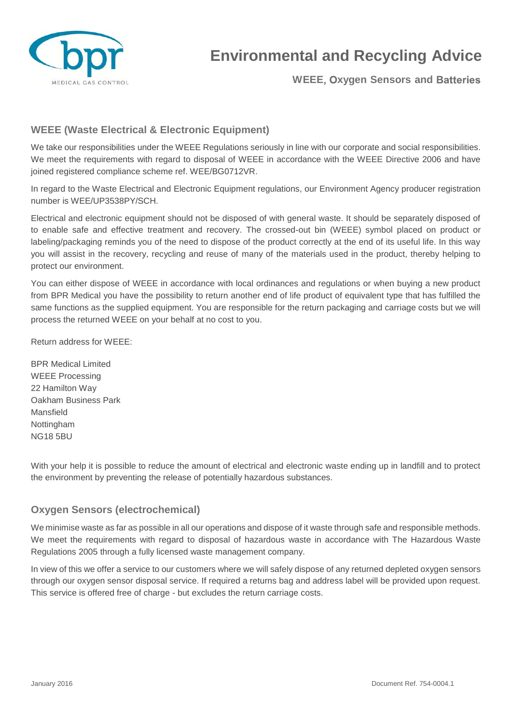

## **Environmental and Recycling Advice**

**WEEE, Oxygen Sensors and Batteries** 

## **WEEE (Waste Electrical & Electronic Equipment)**

We take our responsibilities under the WEEE Regulations seriously in line with our corporate and social responsibilities. We meet the requirements with regard to disposal of WEEE in accordance with the WEEE Directive 2006 and have joined registered compliance scheme ref. WEE/BG0712VR.

In regard to the Waste Electrical and Electronic Equipment regulations, our Environment Agency producer registration number is WEE/UP3538PY/SCH.

Electrical and electronic equipment should not be disposed of with general waste. It should be separately disposed of to enable safe and effective treatment and recovery. The crossed-out bin (WEEE) symbol placed on product or labeling/packaging reminds you of the need to dispose of the product correctly at the end of its useful life. In this way you will assist in the recovery, recycling and reuse of many of the materials used in the product, thereby helping to protect our environment.

You can either dispose of WEEE in accordance with local ordinances and regulations or when buying a new product from BPR Medical you have the possibility to return another end of life product of equivalent type that has fulfilled the same functions as the supplied equipment. You are responsible for the return packaging and carriage costs but we will process the returned WEEE on your behalf at no cost to you.

Return address for WEEE:

BPR Medical Limited WEEE Processing 22 Hamilton Way Oakham Business Park Mansfield Nottingham NG18 5BU

With your help it is possible to reduce the amount of electrical and electronic waste ending up in landfill and to protect the environment by preventing the release of potentially hazardous substances.

## **Oxygen Sensors (electrochemical)**

We minimise waste as far as possible in all our operations and dispose of it waste through safe and responsible methods. We meet the requirements with regard to disposal of hazardous waste in accordance with The Hazardous Waste Regulations 2005 through a fully licensed waste management company.

In view of this we offer a service to our customers where we will safely dispose of any returned depleted oxygen sensors through our oxygen sensor disposal service. If required a returns bag and address label will be provided upon request. This service is offered free of charge - but excludes the return carriage costs.